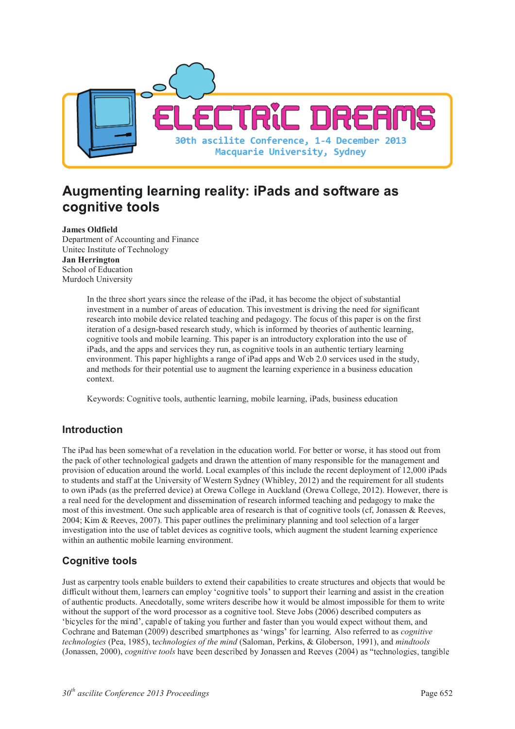

# Augmenting learning reality: iPads and software as cognitive tools

**James Oldfield**  Department of Accounting and Finance Unitec Institute of Technology **Jan Herrington**  School of Education Murdoch University

> In the three short years since the release of the iPad, it has become the object of substantial investment in a number of areas of education. This investment is driving the need for significant research into mobile device related teaching and pedagogy. The focus of this paper is on the first iteration of a design-based research study, which is informed by theories of authentic learning, cognitive tools and mobile learning. This paper is an introductory exploration into the use of iPads, and the apps and services they run, as cognitive tools in an authentic tertiary learning environment. This paper highlights a range of iPad apps and Web 2.0 services used in the study, and methods for their potential use to augment the learning experience in a business education context.

Keywords: Cognitive tools, authentic learning, mobile learning, iPads, business education

### **Introduction**

The iPad has been somewhat of a revelation in the education world. For better or worse, it has stood out from the pack of other technological gadgets and drawn the attention of many responsible for the management and provision of education around the world. Local examples of this include the recent deployment of 12,000 iPads to students and staff at the University of Western Sydney (Whibley, 2012) and the requirement for all students to own iPads (as the preferred device) at Orewa College in Auckland (Orewa College, 2012). However, there is a real need for the development and dissemination of research informed teaching and pedagogy to make the most of this investment. One such applicable area of research is that of cognitive tools (cf. Jonassen & Reeves, 2004; Kim & Reeves, 2007). This paper outlines the preliminary planning and tool selection of a larger investigation into the use of tablet devices as cognitive tools, which augment the student learning experience within an authentic mobile learning environment.

# **Cognitive tools**

Just as carpentry tools enable builders to extend their capabilities to create structures and objects that would be difficult without them, learners can employ 'cognitive tools' to support their learning and assist in the creation of authentic products. Anecdotally, some writers describe how it would be almost impossible for them to write without the support of the word processor as a cognitive tool. Steve Jobs (2006) described computers as 'bicycles for the mind', capable of taking you further and faster than you would expect without them, and Cochrane and Bateman (2009) described smartphones as 'wings' for learning. Also referred to as *cognitive technologies* (Pea, 1985), t*echnologies of the mind* (Saloman, Perkins, & Globerson, 1991), and *mindtools* (Jonassen, 2000), *cognitive tools* have been described by Jonassen and Reeves (2004) as "technologies, tangibl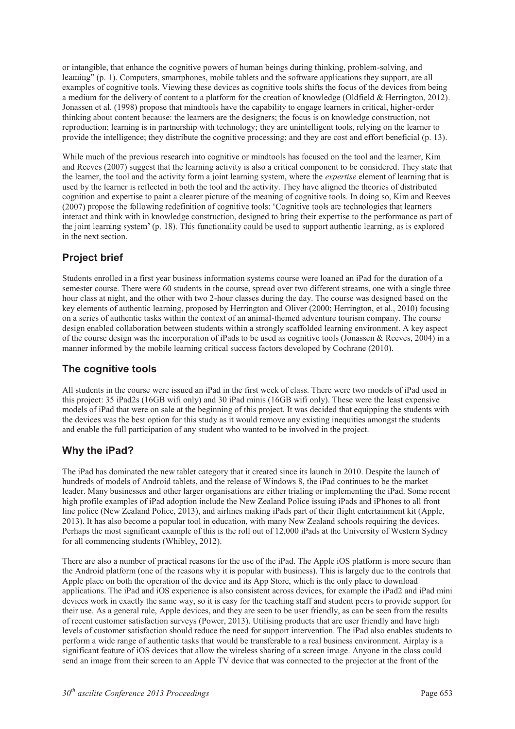or intangible, that enhance the cognitive powers of human beings during thinking, problem-solving, and learning" (p. 1). Computers, smartphones, mobile tablets and the software applications they support, are all examples of cognitive tools. Viewing these devices as cognitive tools shifts the focus of the devices from being a medium for the delivery of content to a platform for the creation of knowledge (Oldfield & Herrington, 2012). Jonassen et al. (1998) propose that mindtools have the capability to engage learners in critical, higher-order thinking about content because: the learners are the designers; the focus is on knowledge construction, not reproduction; learning is in partnership with technology; they are unintelligent tools, relying on the learner to provide the intelligence; they distribute the cognitive processing; and they are cost and effort beneficial (p. 13).

While much of the previous research into cognitive or mindtools has focused on the tool and the learner, Kim and Reeves (2007) suggest that the learning activity is also a critical component to be considered. They state that the learner, the tool and the activity form a joint learning system, where the *expertise* element of learning that is used by the learner is reflected in both the tool and the activity. They have aligned the theories of distributed cognition and expertise to paint a clearer picture of the meaning of cognitive tools. In doing so, Kim and Reeves  $(2007)$  propose the following redefinition of cognitive tools: 'Cognitive tools are technologies that learner interact and think with in knowledge construction, designed to bring their expertise to the performance as part of the joint learning system' (p. 18). This functionality could be used to support authentic learning, as is explore in the next section.

# **Project brief**

Students enrolled in a first year business information systems course were loaned an iPad for the duration of a semester course. There were 60 students in the course, spread over two different streams, one with a single three hour class at night, and the other with two 2-hour classes during the day. The course was designed based on the key elements of authentic learning, proposed by Herrington and Oliver (2000; Herrington, et al., 2010) focusing on a series of authentic tasks within the context of an animal-themed adventure tourism company. The course design enabled collaboration between students within a strongly scaffolded learning environment. A key aspect of the course design was the incorporation of iPads to be used as cognitive tools (Jonassen & Reeves, 2004) in a manner informed by the mobile learning critical success factors developed by Cochrane (2010).

## **The cognitive tools**

All students in the course were issued an iPad in the first week of class. There were two models of iPad used in this project: 35 iPad2s (16GB wifi only) and 30 iPad minis (16GB wifi only). These were the least expensive models of iPad that were on sale at the beginning of this project. It was decided that equipping the students with the devices was the best option for this study as it would remove any existing inequities amongst the students and enable the full participation of any student who wanted to be involved in the project.

# **Why the iPad?**

The iPad has dominated the new tablet category that it created since its launch in 2010. Despite the launch of hundreds of models of Android tablets, and the release of Windows 8, the iPad continues to be the market leader. Many businesses and other larger organisations are either trialing or implementing the iPad. Some recent high profile examples of iPad adoption include the New Zealand Police issuing iPads and iPhones to all front line police (New Zealand Police, 2013), and airlines making iPads part of their flight entertainment kit (Apple, 2013). It has also become a popular tool in education, with many New Zealand schools requiring the devices. Perhaps the most significant example of this is the roll out of 12,000 iPads at the University of Western Sydney for all commencing students (Whibley, 2012).

There are also a number of practical reasons for the use of the iPad. The Apple iOS platform is more secure than the Android platform (one of the reasons why it is popular with business). This is largely due to the controls that Apple place on both the operation of the device and its App Store, which is the only place to download applications. The iPad and iOS experience is also consistent across devices, for example the iPad2 and iPad mini devices work in exactly the same way, so it is easy for the teaching staff and student peers to provide support for their use. As a general rule, Apple devices, and they are seen to be user friendly, as can be seen from the results of recent customer satisfaction surveys (Power, 2013). Utilising products that are user friendly and have high levels of customer satisfaction should reduce the need for support intervention. The iPad also enables students to perform a wide range of authentic tasks that would be transferable to a real business environment. Airplay is a significant feature of iOS devices that allow the wireless sharing of a screen image. Anyone in the class could send an image from their screen to an Apple TV device that was connected to the projector at the front of the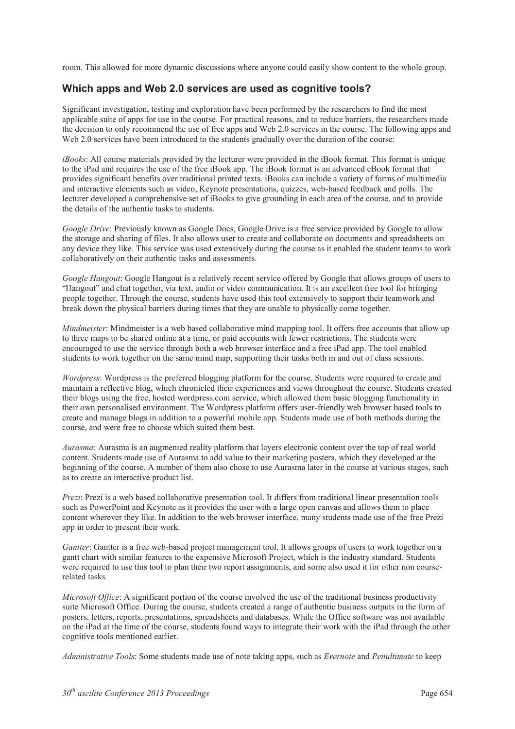room. This allowed for more dynamic discussions where anyone could easily show content to the whole group.

#### **Which apps and Web 2.0 services are used as cognitive tools?**

Significant investigation, testing and exploration have been performed by the researchers to find the most applicable suite of apps for use in the course. For practical reasons, and to reduce barriers, the researchers made the decision to only recommend the use of free apps and Web 2.0 services in the course. The following apps and Web 2.0 services have been introduced to the students gradually over the duration of the course:

*iBooks*: All course materials provided by the lecturer were provided in the iBook format. This format is unique to the iPad and requires the use of the free iBook app. The iBook format is an advanced eBook format that provides significant benefits over traditional printed texts. iBooks can include a variety of forms of multimedia and interactive elements such as video, Keynote presentations, quizzes, web-based feedback and polls. The lecturer developed a comprehensive set of iBooks to give grounding in each area of the course, and to provide the details of the authentic tasks to students.

*Google Drive*: Previously known as Google Docs, Google Drive is a free service provided by Google to allow the storage and sharing of files. It also allows user to create and collaborate on documents and spreadsheets on any device they like. This service was used extensively during the course as it enabled the student teams to work collaboratively on their authentic tasks and assessments.

*Google Hangout*: Google Hangout is a relatively recent service offered by Google that allows groups of users to # <sup>+</sup> \$  \*  , \* - people together. Through the course, students have used this tool extensively to support their teamwork and break down the physical barriers during times that they are unable to physically come together.

*Mindmeister*: Mindmeister is a web based collaborative mind mapping tool. It offers free accounts that allow up to three maps to be shared online at a time, or paid accounts with fewer restrictions. The students were encouraged to use the service through both a web browser interface and a free iPad app. The tool enabled students to work together on the same mind map, supporting their tasks both in and out of class sessions.

*Wordpress*: Wordpress is the preferred blogging platform for the course. Students were required to create and maintain a reflective blog, which chronicled their experiences and views throughout the course. Students created their blogs using the free, hosted wordpress.com service, which allowed them basic blogging functionality in their own personalised environment. The Wordpress platform offers user-friendly web browser based tools to create and manage blogs in addition to a powerful mobile app. Students made use of both methods during the course, and were free to choose which suited them best.

*Aurasma*: Aurasma is an augmented reality platform that layers electronic content over the top of real world content. Students made use of Aurasma to add value to their marketing posters, which they developed at the beginning of the course. A number of them also chose to use Aurasma later in the course at various stages, such as to create an interactive product list.

*Prezi*: Prezi is a web based collaborative presentation tool. It differs from traditional linear presentation tools such as PowerPoint and Keynote as it provides the user with a large open canvas and allows them to place content wherever they like. In addition to the web browser interface, many students made use of the free Prezi app in order to present their work.

*Gantter*: Gantter is a free web-based project management tool. It allows groups of users to work together on a gantt chart with similar features to the expensive Microsoft Project, which is the industry standard. Students were required to use this tool to plan their two report assignments, and some also used it for other non courserelated tasks.

*Microsoft Office*: A significant portion of the course involved the use of the traditional business productivity suite Microsoft Office. During the course, students created a range of authentic business outputs in the form of posters, letters, reports, presentations, spreadsheets and databases. While the Office software was not available on the iPad at the time of the course, students found ways to integrate their work with the iPad through the other cognitive tools mentioned earlier.

*Administrative Tools*: Some students made use of note taking apps, such as *Evernote* and *Penultimate* to keep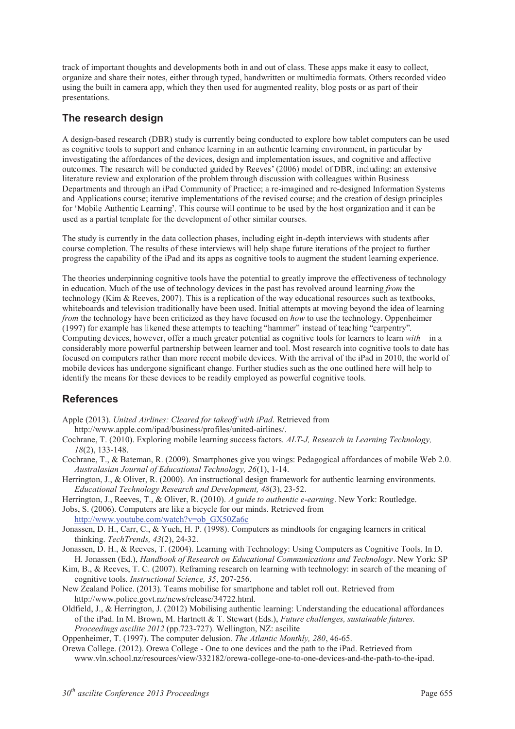track of important thoughts and developments both in and out of class. These apps make it easy to collect, organize and share their notes, either through typed, handwritten or multimedia formats. Others recorded video using the built in camera app, which they then used for augmented reality, blog posts or as part of their presentations.

#### **The research design**

A design-based research (DBR) study is currently being conducted to explore how tablet computers can be used as cognitive tools to support and enhance learning in an authentic learning environment, in particular by investigating the affordances of the devices, design and implementation issues, and cognitive and affective ) ! - - . !  % \* literature review and exploration of the problem through discussion with colleagues within Business Departments and through an iPad Community of Practice; a re-imagined and re-designed Information Systems and Applications course; iterative implementations of the revised course; and the creation of design principles - / <sup>0</sup> <sup>1</sup> ) <sup>2</sup> used as a partial template for the development of other similar courses.

The study is currently in the data collection phases, including eight in-depth interviews with students after course completion. The results of these interviews will help shape future iterations of the project to further progress the capability of the iPad and its apps as cognitive tools to augment the student learning experience.

The theories underpinning cognitive tools have the potential to greatly improve the effectiveness of technology in education. Much of the use of technology devices in the past has revolved around learning *from* the technology (Kim & Reeves, 2007). This is a replication of the way educational resources such as textbooks, whiteboards and television traditionally have been used. Initial attempts at moving beyond the idea of learning *from* the technology have been criticized as they have focused on *how* to use the technology. Oppenheimer (1997) for example has likened these attempts to teaching "hammer" instead of teaching "carpentry" Computing devices, however, offer a much greater potential as cognitive tools for learners to learn *with*—in a considerably more powerful partnership between learner and tool. Most research into cognitive tools to date has focused on computers rather than more recent mobile devices. With the arrival of the iPad in 2010, the world of mobile devices has undergone significant change. Further studies such as the one outlined here will help to identify the means for these devices to be readily employed as powerful cognitive tools.

### **References**

- Apple (2013). *United Airlines: Cleared for takeoff with iPad*. Retrieved from
- http://www.apple.com/ipad/business/profiles/united-airlines/.
- Cochrane, T. (2010). Exploring mobile learning success factors. *ALT-J, Research in Learning Technology, 18*(2), 133-148.
- Cochrane, T., & Bateman, R. (2009). Smartphones give you wings: Pedagogical affordances of mobile Web 2.0. *Australasian Journal of Educational Technology, 26*(1), 1-14.
- Herrington, J., & Oliver, R. (2000). An instructional design framework for authentic learning environments. *Educational Technology Research and Development, 48*(3), 23-52.
- Herrington, J., Reeves, T., & Oliver, R. (2010). *A guide to authentic e-earning*. New York: Routledge.
- Jobs, S. (2006). Computers are like a bicycle for our minds. Retrieved from http://www.youtube.com/watch?v=ob\_GX50Za6c
- Jonassen, D. H., Carr, C., & Yueh, H. P. (1998). Computers as mindtools for engaging learners in critical thinking. *TechTrends, 43*(2), 24-32.
- Jonassen, D. H., & Reeves, T. (2004). Learning with Technology: Using Computers as Cognitive Tools. In D. H. Jonassen (Ed.), *Handbook of Research on Educational Communications and Technology*. New York: SP
- Kim, B., & Reeves, T. C. (2007). Reframing research on learning with technology: in search of the meaning of cognitive tools. *Instructional Science, 35*, 207-256.
- New Zealand Police. (2013). Teams mobilise for smartphone and tablet roll out. Retrieved from http://www.police.govt.nz/news/release/34722.html.
- Oldfield, J., & Herrington, J. (2012) Mobilising authentic learning: Understanding the educational affordances of the iPad. In M. Brown, M. Hartnett & T. Stewart (Eds.), *Future challenges, sustainable futures. Proceedings ascilite 2012* (pp.723-727). Wellington, NZ: ascilite
- Oppenheimer, T. (1997). The computer delusion. *The Atlantic Monthly, 280*, 46-65.
- Orewa College. (2012). Orewa College One to one devices and the path to the iPad. Retrieved from www.vln.school.nz/resources/view/332182/orewa-college-one-to-one-devices-and-the-path-to-the-ipad.